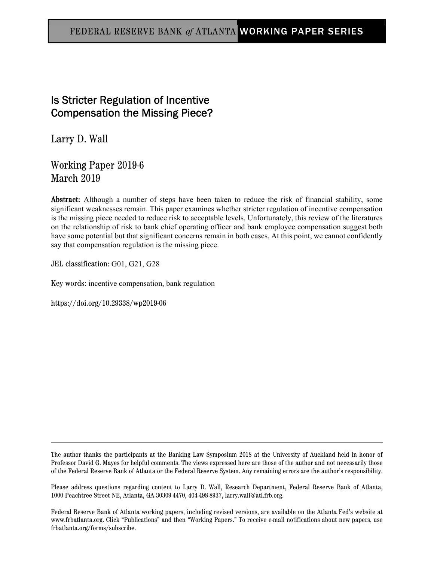## FEDERAL RESERVE BANK o*f* ATLANTA WORKING PAPER SERIES

# Is Stricter Regulation of Incentive Compensation the Missing Piece?

Larry D. Wall

## Working Paper 2019-6 March 2019

Abstract: Although a number of steps have been taken to reduce the risk of financial stability, some significant weaknesses remain. This paper examines whether stricter regulation of incentive compensation is the missing piece needed to reduce risk to acceptable levels. Unfortunately, this review of the literatures on the relationship of risk to bank chief operating officer and bank employee compensation suggest both have some potential but that significant concerns remain in both cases. At this point, we cannot confidently say that compensation regulation is the missing piece.

JEL classification: G01, G21, G28

Key words: incentive compensation, bank regulation

https://doi.org/10.29338/wp2019-06

The author thanks the participants at the Banking Law Symposium 2018 at the University of Auckland held in honor of Professor David G. Mayes for helpful comments. The views expressed here are those of the author and not necessarily those of the Federal Reserve Bank of Atlanta or the Federal Reserve System. Any remaining errors are the author's responsibility.

Please address questions regarding content to Larry D. Wall, Research Department, Federal Reserve Bank of Atlanta, 1000 Peachtree Street NE, Atlanta, GA 30309-4470, 404-498-8937, larry.wall@atl.frb.org.

Federal Reserve Bank of Atlanta working papers, including revised versions, are available on the Atlanta Fed's website at www.frbatlanta.org. Click "Publications" and then "Working Papers." To receive e-mail notifications about new papers, use frbatlanta.org/forms/subscribe.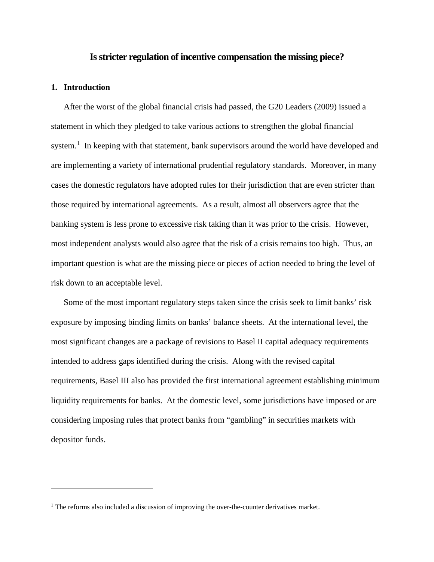## **Is stricter regulation of incentive compensation the missing piece?**

## **1. Introduction**

 $\overline{a}$ 

After the worst of the global financial crisis had passed, the G20 Leaders (2009) issued a statement in which they pledged to take various actions to strengthen the global financial system.<sup>[1](#page-1-0)</sup> In keeping with that statement, bank supervisors around the world have developed and are implementing a variety of international prudential regulatory standards. Moreover, in many cases the domestic regulators have adopted rules for their jurisdiction that are even stricter than those required by international agreements. As a result, almost all observers agree that the banking system is less prone to excessive risk taking than it was prior to the crisis. However, most independent analysts would also agree that the risk of a crisis remains too high. Thus, an important question is what are the missing piece or pieces of action needed to bring the level of risk down to an acceptable level.

Some of the most important regulatory steps taken since the crisis seek to limit banks' risk exposure by imposing binding limits on banks' balance sheets. At the international level, the most significant changes are a package of revisions to Basel II capital adequacy requirements intended to address gaps identified during the crisis. Along with the revised capital requirements, Basel III also has provided the first international agreement establishing minimum liquidity requirements for banks. At the domestic level, some jurisdictions have imposed or are considering imposing rules that protect banks from "gambling" in securities markets with depositor funds.

<span id="page-1-0"></span><sup>&</sup>lt;sup>1</sup> The reforms also included a discussion of improving the over-the-counter derivatives market.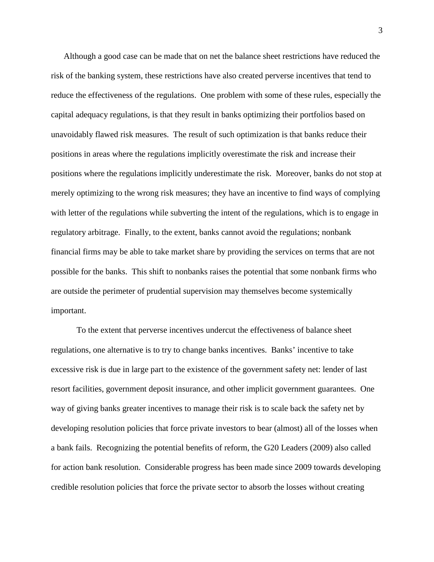Although a good case can be made that on net the balance sheet restrictions have reduced the risk of the banking system, these restrictions have also created perverse incentives that tend to reduce the effectiveness of the regulations. One problem with some of these rules, especially the capital adequacy regulations, is that they result in banks optimizing their portfolios based on unavoidably flawed risk measures. The result of such optimization is that banks reduce their positions in areas where the regulations implicitly overestimate the risk and increase their positions where the regulations implicitly underestimate the risk. Moreover, banks do not stop at merely optimizing to the wrong risk measures; they have an incentive to find ways of complying with letter of the regulations while subverting the intent of the regulations, which is to engage in regulatory arbitrage. Finally, to the extent, banks cannot avoid the regulations; nonbank financial firms may be able to take market share by providing the services on terms that are not possible for the banks. This shift to nonbanks raises the potential that some nonbank firms who are outside the perimeter of prudential supervision may themselves become systemically important.

To the extent that perverse incentives undercut the effectiveness of balance sheet regulations, one alternative is to try to change banks incentives. Banks' incentive to take excessive risk is due in large part to the existence of the government safety net: lender of last resort facilities, government deposit insurance, and other implicit government guarantees. One way of giving banks greater incentives to manage their risk is to scale back the safety net by developing resolution policies that force private investors to bear (almost) all of the losses when a bank fails. Recognizing the potential benefits of reform, the G20 Leaders (2009) also called for action bank resolution. Considerable progress has been made since 2009 towards developing credible resolution policies that force the private sector to absorb the losses without creating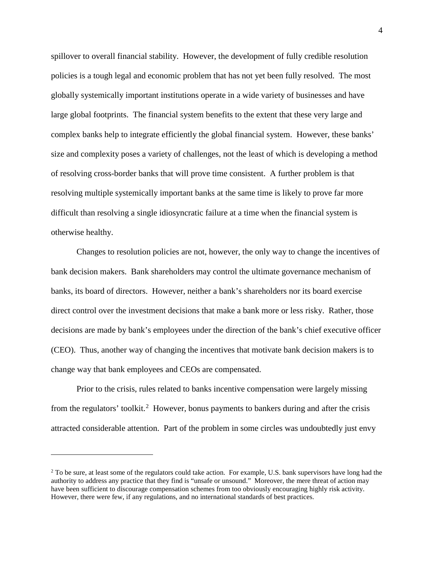spillover to overall financial stability. However, the development of fully credible resolution policies is a tough legal and economic problem that has not yet been fully resolved. The most globally systemically important institutions operate in a wide variety of businesses and have large global footprints. The financial system benefits to the extent that these very large and complex banks help to integrate efficiently the global financial system. However, these banks' size and complexity poses a variety of challenges, not the least of which is developing a method of resolving cross-border banks that will prove time consistent. A further problem is that resolving multiple systemically important banks at the same time is likely to prove far more difficult than resolving a single idiosyncratic failure at a time when the financial system is otherwise healthy.

Changes to resolution policies are not, however, the only way to change the incentives of bank decision makers. Bank shareholders may control the ultimate governance mechanism of banks, its board of directors. However, neither a bank's shareholders nor its board exercise direct control over the investment decisions that make a bank more or less risky. Rather, those decisions are made by bank's employees under the direction of the bank's chief executive officer (CEO). Thus, another way of changing the incentives that motivate bank decision makers is to change way that bank employees and CEOs are compensated.

Prior to the crisis, rules related to banks incentive compensation were largely missing from the regulators' toolkit.<sup>[2](#page-3-0)</sup> However, bonus payments to bankers during and after the crisis attracted considerable attention. Part of the problem in some circles was undoubtedly just envy

<span id="page-3-0"></span><sup>&</sup>lt;sup>2</sup> To be sure, at least some of the regulators could take action. For example, U.S. bank supervisors have long had the authority to address any practice that they find is "unsafe or unsound." Moreover, the mere threat of action may have been sufficient to discourage compensation schemes from too obviously encouraging highly risk activity. However, there were few, if any regulations, and no international standards of best practices.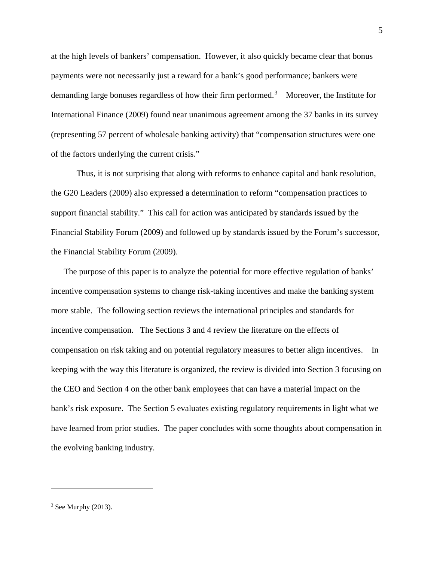at the high levels of bankers' compensation. However, it also quickly became clear that bonus payments were not necessarily just a reward for a bank's good performance; bankers were demanding large bonuses regardless of how their firm performed.<sup>[3](#page-4-0)</sup> Moreover, the Institute for International Finance (2009) found near unanimous agreement among the 37 banks in its survey (representing 57 percent of wholesale banking activity) that "compensation structures were one of the factors underlying the current crisis."

Thus, it is not surprising that along with reforms to enhance capital and bank resolution, the G20 Leaders (2009) also expressed a determination to reform "compensation practices to support financial stability." This call for action was anticipated by standards issued by the Financial Stability Forum (2009) and followed up by standards issued by the Forum's successor, the Financial Stability Forum (2009).

The purpose of this paper is to analyze the potential for more effective regulation of banks' incentive compensation systems to change risk-taking incentives and make the banking system more stable. The following section reviews the international principles and standards for incentive compensation. The Sections 3 and 4 review the literature on the effects of compensation on risk taking and on potential regulatory measures to better align incentives. In keeping with the way this literature is organized, the review is divided into Section 3 focusing on the CEO and Section 4 on the other bank employees that can have a material impact on the bank's risk exposure. The Section 5 evaluates existing regulatory requirements in light what we have learned from prior studies. The paper concludes with some thoughts about compensation in the evolving banking industry.

<span id="page-4-0"></span> $3$  See Murphy (2013).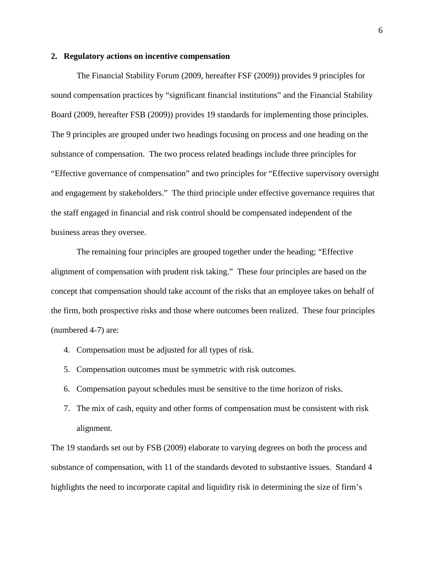### **2. Regulatory actions on incentive compensation**

The Financial Stability Forum (2009, hereafter FSF (2009)) provides 9 principles for sound compensation practices by "significant financial institutions" and the Financial Stability Board (2009, hereafter FSB (2009)) provides 19 standards for implementing those principles. The 9 principles are grouped under two headings focusing on process and one heading on the substance of compensation. The two process related headings include three principles for "Effective governance of compensation" and two principles for "Effective supervisory oversight and engagement by stakeholders." The third principle under effective governance requires that the staff engaged in financial and risk control should be compensated independent of the business areas they oversee.

The remaining four principles are grouped together under the heading; "Effective alignment of compensation with prudent risk taking." These four principles are based on the concept that compensation should take account of the risks that an employee takes on behalf of the firm, both prospective risks and those where outcomes been realized. These four principles (numbered 4-7) are:

- 4. Compensation must be adjusted for all types of risk.
- 5. Compensation outcomes must be symmetric with risk outcomes.
- 6. Compensation payout schedules must be sensitive to the time horizon of risks.
- 7. The mix of cash, equity and other forms of compensation must be consistent with risk alignment.

The 19 standards set out by FSB (2009) elaborate to varying degrees on both the process and substance of compensation, with 11 of the standards devoted to substantive issues. Standard 4 highlights the need to incorporate capital and liquidity risk in determining the size of firm's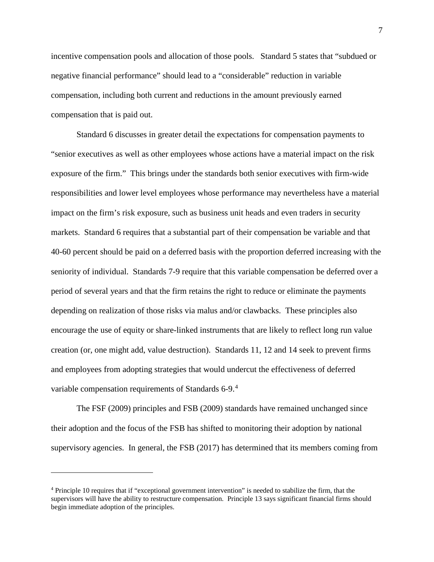incentive compensation pools and allocation of those pools. Standard 5 states that "subdued or negative financial performance" should lead to a "considerable" reduction in variable compensation, including both current and reductions in the amount previously earned compensation that is paid out.

Standard 6 discusses in greater detail the expectations for compensation payments to "senior executives as well as other employees whose actions have a material impact on the risk exposure of the firm." This brings under the standards both senior executives with firm-wide responsibilities and lower level employees whose performance may nevertheless have a material impact on the firm's risk exposure, such as business unit heads and even traders in security markets. Standard 6 requires that a substantial part of their compensation be variable and that 40-60 percent should be paid on a deferred basis with the proportion deferred increasing with the seniority of individual. Standards 7-9 require that this variable compensation be deferred over a period of several years and that the firm retains the right to reduce or eliminate the payments depending on realization of those risks via malus and/or clawbacks. These principles also encourage the use of equity or share-linked instruments that are likely to reflect long run value creation (or, one might add, value destruction). Standards 11, 12 and 14 seek to prevent firms and employees from adopting strategies that would undercut the effectiveness of deferred variable compensation requirements of Standards 6-9.<sup>[4](#page-6-0)</sup>

The FSF (2009) principles and FSB (2009) standards have remained unchanged since their adoption and the focus of the FSB has shifted to monitoring their adoption by national supervisory agencies. In general, the FSB (2017) has determined that its members coming from

<span id="page-6-0"></span><sup>4</sup> Principle 10 requires that if "exceptional government intervention" is needed to stabilize the firm, that the supervisors will have the ability to restructure compensation. Principle 13 says significant financial firms should begin immediate adoption of the principles.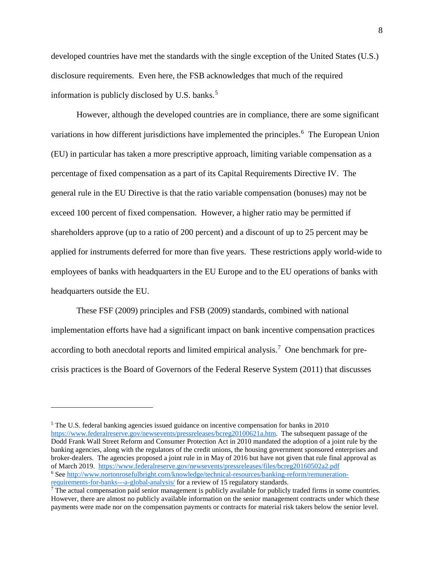developed countries have met the standards with the single exception of the United States (U.S.) disclosure requirements. Even here, the FSB acknowledges that much of the required information is publicly disclosed by U.S. banks. [5](#page-7-0)

However, although the developed countries are in compliance, there are some significant variations in how different jurisdictions have implemented the principles.<sup>[6](#page-7-1)</sup> The European Union (EU) in particular has taken a more prescriptive approach, limiting variable compensation as a percentage of fixed compensation as a part of its Capital Requirements Directive IV. The general rule in the EU Directive is that the ratio variable compensation (bonuses) may not be exceed 100 percent of fixed compensation. However, a higher ratio may be permitted if shareholders approve (up to a ratio of 200 percent) and a discount of up to 25 percent may be applied for instruments deferred for more than five years. These restrictions apply world-wide to employees of banks with headquarters in the EU Europe and to the EU operations of banks with headquarters outside the EU.

These FSF (2009) principles and FSB (2009) standards, combined with national implementation efforts have had a significant impact on bank incentive compensation practices according to both anecdotal reports and limited empirical analysis.<sup>[7](#page-7-2)</sup> One benchmark for precrisis practices is the Board of Governors of the Federal Reserve System (2011) that discusses

<span id="page-7-0"></span><sup>5</sup> The U.S. federal banking agencies issued guidance on incentive compensation for banks in 2010 [https://www.federalreserve.gov/newsevents/pressreleases/bcreg20100621a.htm.](https://www.federalreserve.gov/newsevents/pressreleases/bcreg20100621a.htm) The subsequent passage of the Dodd Frank Wall Street Reform and Consumer Protection Act in 2010 mandated the adoption of a joint rule by the banking agencies, along with the regulators of the credit unions, the housing government sponsored enterprises and broker-dealers. The agencies proposed a joint rule in in May of 2016 but have not given that rule final approval as of March 2019. <https://www.federalreserve.gov/newsevents/pressreleases/files/bcreg20160502a2.pdf> <sup>6</sup> Se[e http://www.nortonrosefulbright.com/knowledge/technical-resources/banking-reform/remuneration-](http://www.nortonrosefulbright.com/knowledge/technical-resources/banking-reform/remuneration-requirements-for-banks---a-global-analysis/)

<span id="page-7-1"></span>[requirements-for-banks---a-global-analysis/](http://www.nortonrosefulbright.com/knowledge/technical-resources/banking-reform/remuneration-requirements-for-banks---a-global-analysis/) for a review of 15 regulatory standards.

<span id="page-7-2"></span> $\overline{7}$  The actual compensation paid senior management is publicly available for publicly traded firms in some countries. However, there are almost no publicly available information on the senior management contracts under which these payments were made nor on the compensation payments or contracts for material risk takers below the senior level.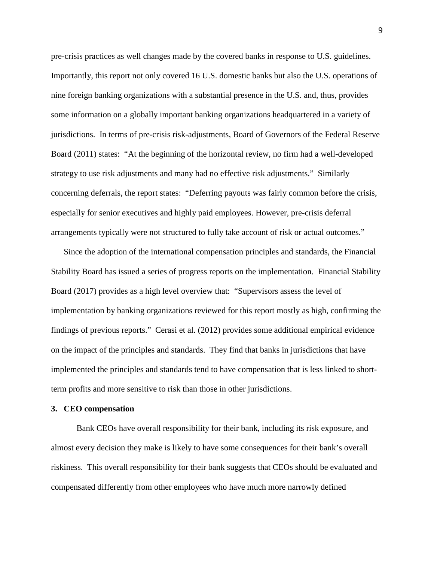pre-crisis practices as well changes made by the covered banks in response to U.S. guidelines. Importantly, this report not only covered 16 U.S. domestic banks but also the U.S. operations of nine foreign banking organizations with a substantial presence in the U.S. and, thus, provides some information on a globally important banking organizations headquartered in a variety of jurisdictions. In terms of pre-crisis risk-adjustments, Board of Governors of the Federal Reserve Board (2011) states: "At the beginning of the horizontal review, no firm had a well-developed strategy to use risk adjustments and many had no effective risk adjustments." Similarly concerning deferrals, the report states: "Deferring payouts was fairly common before the crisis, especially for senior executives and highly paid employees. However, pre-crisis deferral arrangements typically were not structured to fully take account of risk or actual outcomes."

Since the adoption of the international compensation principles and standards, the Financial Stability Board has issued a series of progress reports on the implementation. Financial Stability Board (2017) provides as a high level overview that: "Supervisors assess the level of implementation by banking organizations reviewed for this report mostly as high, confirming the findings of previous reports." Cerasi et al. (2012) provides some additional empirical evidence on the impact of the principles and standards. They find that banks in jurisdictions that have implemented the principles and standards tend to have compensation that is less linked to shortterm profits and more sensitive to risk than those in other jurisdictions.

#### **3. CEO compensation**

Bank CEOs have overall responsibility for their bank, including its risk exposure, and almost every decision they make is likely to have some consequences for their bank's overall riskiness. This overall responsibility for their bank suggests that CEOs should be evaluated and compensated differently from other employees who have much more narrowly defined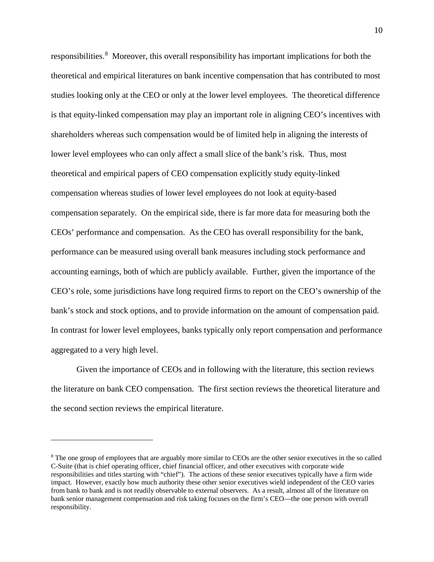responsibilities.<sup>[8](#page-9-0)</sup> Moreover, this overall responsibility has important implications for both the theoretical and empirical literatures on bank incentive compensation that has contributed to most studies looking only at the CEO or only at the lower level employees. The theoretical difference is that equity-linked compensation may play an important role in aligning CEO's incentives with shareholders whereas such compensation would be of limited help in aligning the interests of lower level employees who can only affect a small slice of the bank's risk. Thus, most theoretical and empirical papers of CEO compensation explicitly study equity-linked compensation whereas studies of lower level employees do not look at equity-based compensation separately. On the empirical side, there is far more data for measuring both the CEOs' performance and compensation. As the CEO has overall responsibility for the bank, performance can be measured using overall bank measures including stock performance and accounting earnings, both of which are publicly available. Further, given the importance of the CEO's role, some jurisdictions have long required firms to report on the CEO's ownership of the bank's stock and stock options, and to provide information on the amount of compensation paid. In contrast for lower level employees, banks typically only report compensation and performance aggregated to a very high level.

Given the importance of CEOs and in following with the literature, this section reviews the literature on bank CEO compensation. The first section reviews the theoretical literature and the second section reviews the empirical literature.

<span id="page-9-0"></span><sup>&</sup>lt;sup>8</sup> The one group of employees that are arguably more similar to CEOs are the other senior executives in the so called C-Suite (that is chief operating officer, chief financial officer, and other executives with corporate wide responsibilities and titles starting with "chief"). The actions of these senior executives typically have a firm wide impact. However, exactly how much authority these other senior executives wield independent of the CEO varies from bank to bank and is not readily observable to external observers. As a result, almost all of the literature on bank senior management compensation and risk taking focuses on the firm's CEO—the one person with overall responsibility.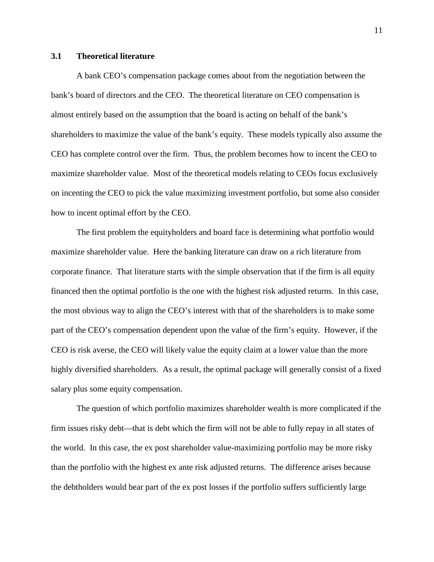## **3.1 Theoretical literature**

A bank CEO's compensation package comes about from the negotiation between the bank's board of directors and the CEO. The theoretical literature on CEO compensation is almost entirely based on the assumption that the board is acting on behalf of the bank's shareholders to maximize the value of the bank's equity. These models typically also assume the CEO has complete control over the firm. Thus, the problem becomes how to incent the CEO to maximize shareholder value. Most of the theoretical models relating to CEOs focus exclusively on incenting the CEO to pick the value maximizing investment portfolio, but some also consider how to incent optimal effort by the CEO.

The first problem the equityholders and board face is determining what portfolio would maximize shareholder value. Here the banking literature can draw on a rich literature from corporate finance. That literature starts with the simple observation that if the firm is all equity financed then the optimal portfolio is the one with the highest risk adjusted returns. In this case, the most obvious way to align the CEO's interest with that of the shareholders is to make some part of the CEO's compensation dependent upon the value of the firm's equity. However, if the CEO is risk averse, the CEO will likely value the equity claim at a lower value than the more highly diversified shareholders. As a result, the optimal package will generally consist of a fixed salary plus some equity compensation.

The question of which portfolio maximizes shareholder wealth is more complicated if the firm issues risky debt—that is debt which the firm will not be able to fully repay in all states of the world. In this case, the ex post shareholder value-maximizing portfolio may be more risky than the portfolio with the highest ex ante risk adjusted returns. The difference arises because the debtholders would bear part of the ex post losses if the portfolio suffers sufficiently large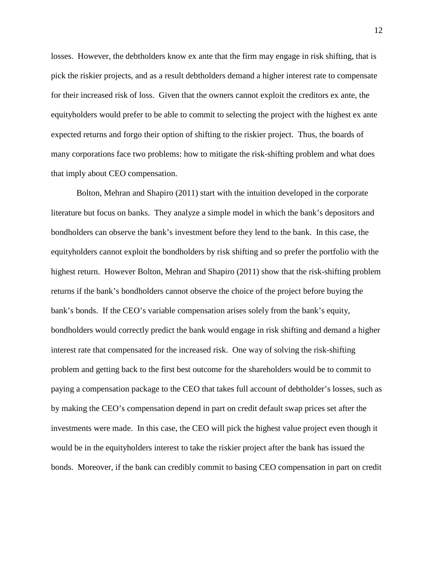losses. However, the debtholders know ex ante that the firm may engage in risk shifting, that is pick the riskier projects, and as a result debtholders demand a higher interest rate to compensate for their increased risk of loss. Given that the owners cannot exploit the creditors ex ante, the equityholders would prefer to be able to commit to selecting the project with the highest ex ante expected returns and forgo their option of shifting to the riskier project. Thus, the boards of many corporations face two problems: how to mitigate the risk-shifting problem and what does that imply about CEO compensation.

Bolton, Mehran and Shapiro (2011) start with the intuition developed in the corporate literature but focus on banks. They analyze a simple model in which the bank's depositors and bondholders can observe the bank's investment before they lend to the bank. In this case, the equityholders cannot exploit the bondholders by risk shifting and so prefer the portfolio with the highest return. However Bolton, Mehran and Shapiro (2011) show that the risk-shifting problem returns if the bank's bondholders cannot observe the choice of the project before buying the bank's bonds. If the CEO's variable compensation arises solely from the bank's equity, bondholders would correctly predict the bank would engage in risk shifting and demand a higher interest rate that compensated for the increased risk. One way of solving the risk-shifting problem and getting back to the first best outcome for the shareholders would be to commit to paying a compensation package to the CEO that takes full account of debtholder's losses, such as by making the CEO's compensation depend in part on credit default swap prices set after the investments were made. In this case, the CEO will pick the highest value project even though it would be in the equityholders interest to take the riskier project after the bank has issued the bonds. Moreover, if the bank can credibly commit to basing CEO compensation in part on credit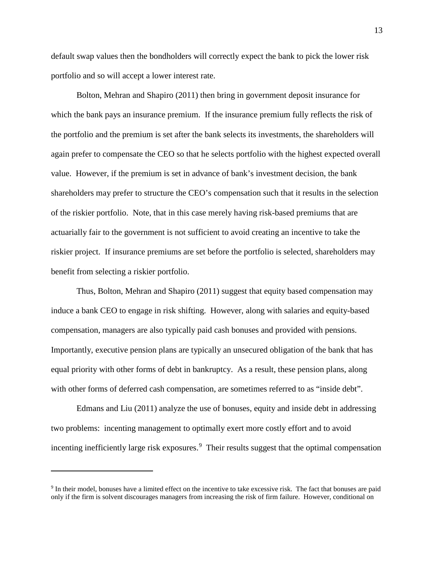default swap values then the bondholders will correctly expect the bank to pick the lower risk portfolio and so will accept a lower interest rate.

Bolton, Mehran and Shapiro (2011) then bring in government deposit insurance for which the bank pays an insurance premium. If the insurance premium fully reflects the risk of the portfolio and the premium is set after the bank selects its investments, the shareholders will again prefer to compensate the CEO so that he selects portfolio with the highest expected overall value. However, if the premium is set in advance of bank's investment decision, the bank shareholders may prefer to structure the CEO's compensation such that it results in the selection of the riskier portfolio. Note, that in this case merely having risk-based premiums that are actuarially fair to the government is not sufficient to avoid creating an incentive to take the riskier project. If insurance premiums are set before the portfolio is selected, shareholders may benefit from selecting a riskier portfolio.

Thus, Bolton, Mehran and Shapiro (2011) suggest that equity based compensation may induce a bank CEO to engage in risk shifting. However, along with salaries and equity-based compensation, managers are also typically paid cash bonuses and provided with pensions. Importantly, executive pension plans are typically an unsecured obligation of the bank that has equal priority with other forms of debt in bankruptcy. As a result, these pension plans, along with other forms of deferred cash compensation, are sometimes referred to as "inside debt".

Edmans and Liu (2011) analyze the use of bonuses, equity and inside debt in addressing two problems: incenting management to optimally exert more costly effort and to avoid incenting inefficiently large risk exposures. [9](#page-12-0) Their results suggest that the optimal compensation

<span id="page-12-0"></span><sup>9</sup> In their model, bonuses have a limited effect on the incentive to take excessive risk. The fact that bonuses are paid only if the firm is solvent discourages managers from increasing the risk of firm failure. However, conditional on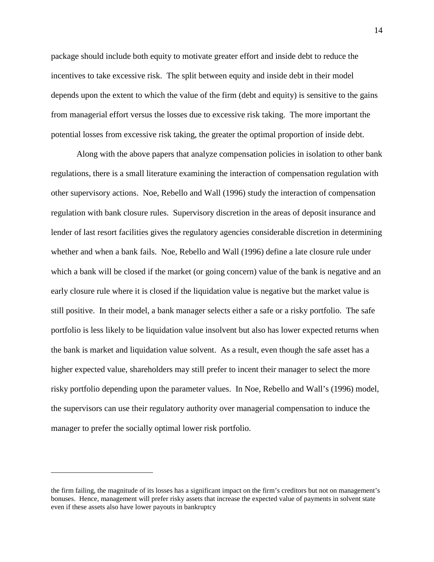package should include both equity to motivate greater effort and inside debt to reduce the incentives to take excessive risk. The split between equity and inside debt in their model depends upon the extent to which the value of the firm (debt and equity) is sensitive to the gains from managerial effort versus the losses due to excessive risk taking. The more important the potential losses from excessive risk taking, the greater the optimal proportion of inside debt.

Along with the above papers that analyze compensation policies in isolation to other bank regulations, there is a small literature examining the interaction of compensation regulation with other supervisory actions. Noe, Rebello and Wall (1996) study the interaction of compensation regulation with bank closure rules. Supervisory discretion in the areas of deposit insurance and lender of last resort facilities gives the regulatory agencies considerable discretion in determining whether and when a bank fails. Noe, Rebello and Wall (1996) define a late closure rule under which a bank will be closed if the market (or going concern) value of the bank is negative and an early closure rule where it is closed if the liquidation value is negative but the market value is still positive. In their model, a bank manager selects either a safe or a risky portfolio. The safe portfolio is less likely to be liquidation value insolvent but also has lower expected returns when the bank is market and liquidation value solvent. As a result, even though the safe asset has a higher expected value, shareholders may still prefer to incent their manager to select the more risky portfolio depending upon the parameter values. In Noe, Rebello and Wall's (1996) model, the supervisors can use their regulatory authority over managerial compensation to induce the manager to prefer the socially optimal lower risk portfolio.

the firm failing, the magnitude of its losses has a significant impact on the firm's creditors but not on management's bonuses. Hence, management will prefer risky assets that increase the expected value of payments in solvent state even if these assets also have lower payouts in bankruptcy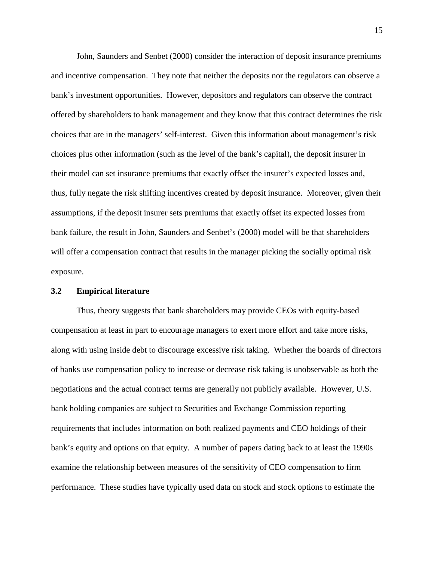John, Saunders and Senbet (2000) consider the interaction of deposit insurance premiums and incentive compensation. They note that neither the deposits nor the regulators can observe a bank's investment opportunities. However, depositors and regulators can observe the contract offered by shareholders to bank management and they know that this contract determines the risk choices that are in the managers' self-interest. Given this information about management's risk choices plus other information (such as the level of the bank's capital), the deposit insurer in their model can set insurance premiums that exactly offset the insurer's expected losses and, thus, fully negate the risk shifting incentives created by deposit insurance. Moreover, given their assumptions, if the deposit insurer sets premiums that exactly offset its expected losses from bank failure, the result in John, Saunders and Senbet's (2000) model will be that shareholders will offer a compensation contract that results in the manager picking the socially optimal risk exposure.

#### **3.2 Empirical literature**

Thus, theory suggests that bank shareholders may provide CEOs with equity-based compensation at least in part to encourage managers to exert more effort and take more risks, along with using inside debt to discourage excessive risk taking. Whether the boards of directors of banks use compensation policy to increase or decrease risk taking is unobservable as both the negotiations and the actual contract terms are generally not publicly available. However, U.S. bank holding companies are subject to Securities and Exchange Commission reporting requirements that includes information on both realized payments and CEO holdings of their bank's equity and options on that equity. A number of papers dating back to at least the 1990s examine the relationship between measures of the sensitivity of CEO compensation to firm performance. These studies have typically used data on stock and stock options to estimate the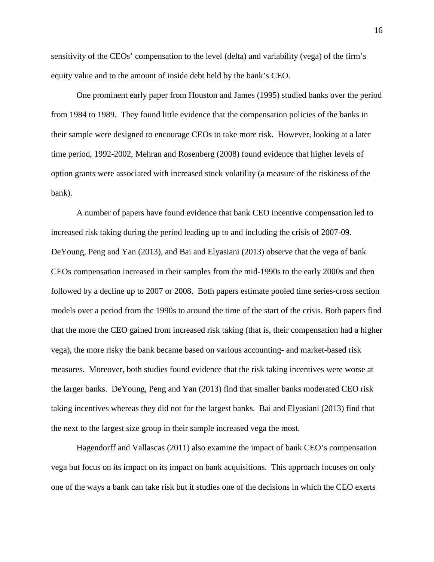sensitivity of the CEOs' compensation to the level (delta) and variability (vega) of the firm's equity value and to the amount of inside debt held by the bank's CEO.

One prominent early paper from Houston and James (1995) studied banks over the period from 1984 to 1989. They found little evidence that the compensation policies of the banks in their sample were designed to encourage CEOs to take more risk. However, looking at a later time period, 1992-2002, Mehran and Rosenberg (2008) found evidence that higher levels of option grants were associated with increased stock volatility (a measure of the riskiness of the bank).

A number of papers have found evidence that bank CEO incentive compensation led to increased risk taking during the period leading up to and including the crisis of 2007-09. DeYoung, Peng and Yan (2013), and Bai and Elyasiani (2013) observe that the vega of bank CEOs compensation increased in their samples from the mid-1990s to the early 2000s and then followed by a decline up to 2007 or 2008. Both papers estimate pooled time series-cross section models over a period from the 1990s to around the time of the start of the crisis. Both papers find that the more the CEO gained from increased risk taking (that is, their compensation had a higher vega), the more risky the bank became based on various accounting- and market-based risk measures. Moreover, both studies found evidence that the risk taking incentives were worse at the larger banks. DeYoung, Peng and Yan (2013) find that smaller banks moderated CEO risk taking incentives whereas they did not for the largest banks. Bai and Elyasiani (2013) find that the next to the largest size group in their sample increased vega the most.

Hagendorff and Vallascas (2011) also examine the impact of bank CEO's compensation vega but focus on its impact on its impact on bank acquisitions. This approach focuses on only one of the ways a bank can take risk but it studies one of the decisions in which the CEO exerts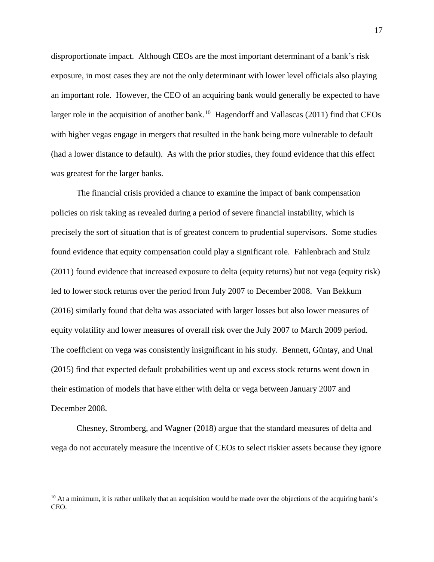disproportionate impact. Although CEOs are the most important determinant of a bank's risk exposure, in most cases they are not the only determinant with lower level officials also playing an important role. However, the CEO of an acquiring bank would generally be expected to have larger role in the acquisition of another bank.<sup>[10](#page-16-0)</sup> Hagendorff and Vallascas (2011) find that CEOs with higher vegas engage in mergers that resulted in the bank being more vulnerable to default (had a lower distance to default). As with the prior studies, they found evidence that this effect was greatest for the larger banks.

The financial crisis provided a chance to examine the impact of bank compensation policies on risk taking as revealed during a period of severe financial instability, which is precisely the sort of situation that is of greatest concern to prudential supervisors. Some studies found evidence that equity compensation could play a significant role. Fahlenbrach and Stulz (2011) found evidence that increased exposure to delta (equity returns) but not vega (equity risk) led to lower stock returns over the period from July 2007 to December 2008. Van Bekkum (2016) similarly found that delta was associated with larger losses but also lower measures of equity volatility and lower measures of overall risk over the July 2007 to March 2009 period. The coefficient on vega was consistently insignificant in his study. Bennett, Güntay, and Unal (2015) find that expected default probabilities went up and excess stock returns went down in their estimation of models that have either with delta or vega between January 2007 and December 2008.

Chesney, Stromberg, and Wagner (2018) argue that the standard measures of delta and vega do not accurately measure the incentive of CEOs to select riskier assets because they ignore

<span id="page-16-0"></span> $10$  At a minimum, it is rather unlikely that an acquisition would be made over the objections of the acquiring bank's CEO.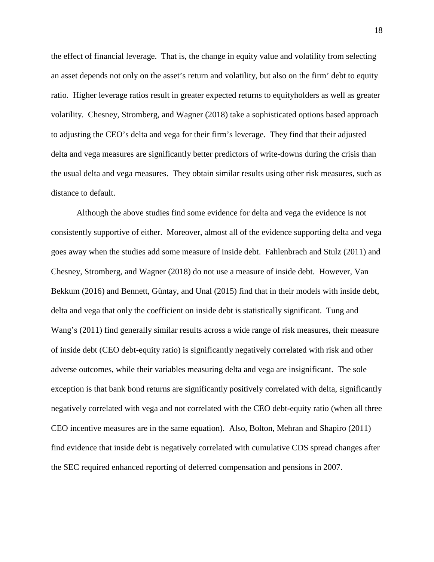the effect of financial leverage. That is, the change in equity value and volatility from selecting an asset depends not only on the asset's return and volatility, but also on the firm' debt to equity ratio. Higher leverage ratios result in greater expected returns to equityholders as well as greater volatility. Chesney, Stromberg, and Wagner (2018) take a sophisticated options based approach to adjusting the CEO's delta and vega for their firm's leverage. They find that their adjusted delta and vega measures are significantly better predictors of write-downs during the crisis than the usual delta and vega measures. They obtain similar results using other risk measures, such as distance to default.

Although the above studies find some evidence for delta and vega the evidence is not consistently supportive of either. Moreover, almost all of the evidence supporting delta and vega goes away when the studies add some measure of inside debt. Fahlenbrach and Stulz (2011) and Chesney, Stromberg, and Wagner (2018) do not use a measure of inside debt. However, Van Bekkum (2016) and Bennett, Güntay, and Unal (2015) find that in their models with inside debt, delta and vega that only the coefficient on inside debt is statistically significant. Tung and Wang's (2011) find generally similar results across a wide range of risk measures, their measure of inside debt (CEO debt-equity ratio) is significantly negatively correlated with risk and other adverse outcomes, while their variables measuring delta and vega are insignificant. The sole exception is that bank bond returns are significantly positively correlated with delta, significantly negatively correlated with vega and not correlated with the CEO debt-equity ratio (when all three CEO incentive measures are in the same equation). Also, Bolton, Mehran and Shapiro (2011) find evidence that inside debt is negatively correlated with cumulative CDS spread changes after the SEC required enhanced reporting of deferred compensation and pensions in 2007.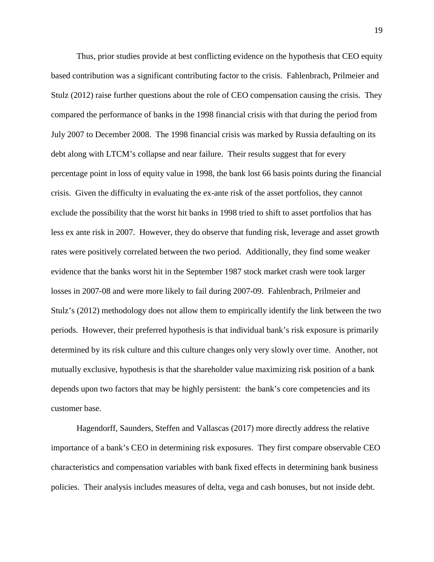Thus, prior studies provide at best conflicting evidence on the hypothesis that CEO equity based contribution was a significant contributing factor to the crisis. Fahlenbrach, Prilmeier and Stulz (2012) raise further questions about the role of CEO compensation causing the crisis. They compared the performance of banks in the 1998 financial crisis with that during the period from July 2007 to December 2008. The 1998 financial crisis was marked by Russia defaulting on its debt along with LTCM's collapse and near failure. Their results suggest that for every percentage point in loss of equity value in 1998, the bank lost 66 basis points during the financial crisis. Given the difficulty in evaluating the ex-ante risk of the asset portfolios, they cannot exclude the possibility that the worst hit banks in 1998 tried to shift to asset portfolios that has less ex ante risk in 2007. However, they do observe that funding risk, leverage and asset growth rates were positively correlated between the two period. Additionally, they find some weaker evidence that the banks worst hit in the September 1987 stock market crash were took larger losses in 2007-08 and were more likely to fail during 2007-09. Fahlenbrach, Prilmeier and Stulz's (2012) methodology does not allow them to empirically identify the link between the two periods. However, their preferred hypothesis is that individual bank's risk exposure is primarily determined by its risk culture and this culture changes only very slowly over time. Another, not mutually exclusive, hypothesis is that the shareholder value maximizing risk position of a bank depends upon two factors that may be highly persistent: the bank's core competencies and its customer base.

Hagendorff, Saunders, Steffen and Vallascas (2017) more directly address the relative importance of a bank's CEO in determining risk exposures. They first compare observable CEO characteristics and compensation variables with bank fixed effects in determining bank business policies. Their analysis includes measures of delta, vega and cash bonuses, but not inside debt.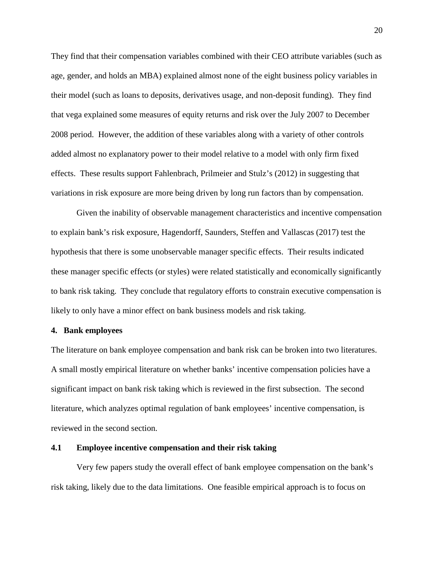They find that their compensation variables combined with their CEO attribute variables (such as age, gender, and holds an MBA) explained almost none of the eight business policy variables in their model (such as loans to deposits, derivatives usage, and non-deposit funding). They find that vega explained some measures of equity returns and risk over the July 2007 to December 2008 period. However, the addition of these variables along with a variety of other controls added almost no explanatory power to their model relative to a model with only firm fixed effects. These results support Fahlenbrach, Prilmeier and Stulz's (2012) in suggesting that variations in risk exposure are more being driven by long run factors than by compensation.

Given the inability of observable management characteristics and incentive compensation to explain bank's risk exposure, Hagendorff, Saunders, Steffen and Vallascas (2017) test the hypothesis that there is some unobservable manager specific effects. Their results indicated these manager specific effects (or styles) were related statistically and economically significantly to bank risk taking. They conclude that regulatory efforts to constrain executive compensation is likely to only have a minor effect on bank business models and risk taking.

## **4. Bank employees**

The literature on bank employee compensation and bank risk can be broken into two literatures. A small mostly empirical literature on whether banks' incentive compensation policies have a significant impact on bank risk taking which is reviewed in the first subsection. The second literature, which analyzes optimal regulation of bank employees' incentive compensation, is reviewed in the second section.

#### **4.1 Employee incentive compensation and their risk taking**

Very few papers study the overall effect of bank employee compensation on the bank's risk taking, likely due to the data limitations. One feasible empirical approach is to focus on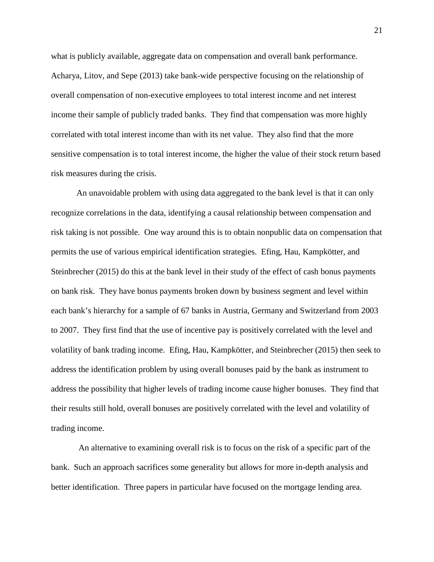what is publicly available, aggregate data on compensation and overall bank performance. Acharya, Litov, and Sepe (2013) take bank-wide perspective focusing on the relationship of overall compensation of non-executive employees to total interest income and net interest income their sample of publicly traded banks. They find that compensation was more highly correlated with total interest income than with its net value. They also find that the more sensitive compensation is to total interest income, the higher the value of their stock return based risk measures during the crisis.

An unavoidable problem with using data aggregated to the bank level is that it can only recognize correlations in the data, identifying a causal relationship between compensation and risk taking is not possible. One way around this is to obtain nonpublic data on compensation that permits the use of various empirical identification strategies. Efing, Hau, Kampkötter, and Steinbrecher (2015) do this at the bank level in their study of the effect of cash bonus payments on bank risk. They have bonus payments broken down by business segment and level within each bank's hierarchy for a sample of 67 banks in Austria, Germany and Switzerland from 2003 to 2007. They first find that the use of incentive pay is positively correlated with the level and volatility of bank trading income. Efing, Hau, Kampkötter, and Steinbrecher (2015) then seek to address the identification problem by using overall bonuses paid by the bank as instrument to address the possibility that higher levels of trading income cause higher bonuses. They find that their results still hold, overall bonuses are positively correlated with the level and volatility of trading income.

An alternative to examining overall risk is to focus on the risk of a specific part of the bank. Such an approach sacrifices some generality but allows for more in-depth analysis and better identification. Three papers in particular have focused on the mortgage lending area.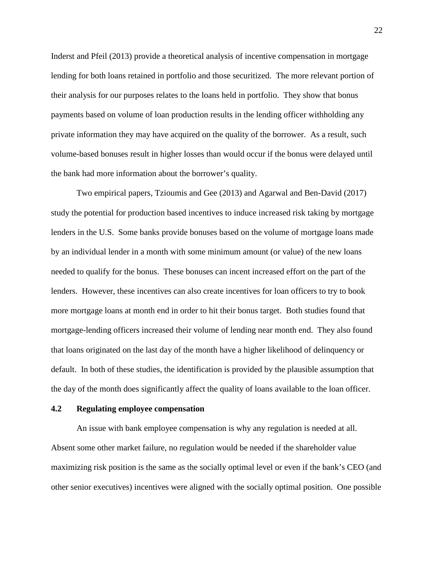Inderst and Pfeil (2013) provide a theoretical analysis of incentive compensation in mortgage lending for both loans retained in portfolio and those securitized. The more relevant portion of their analysis for our purposes relates to the loans held in portfolio. They show that bonus payments based on volume of loan production results in the lending officer withholding any private information they may have acquired on the quality of the borrower. As a result, such volume-based bonuses result in higher losses than would occur if the bonus were delayed until the bank had more information about the borrower's quality.

Two empirical papers, Tzioumis and Gee (2013) and Agarwal and Ben-David (2017) study the potential for production based incentives to induce increased risk taking by mortgage lenders in the U.S. Some banks provide bonuses based on the volume of mortgage loans made by an individual lender in a month with some minimum amount (or value) of the new loans needed to qualify for the bonus. These bonuses can incent increased effort on the part of the lenders. However, these incentives can also create incentives for loan officers to try to book more mortgage loans at month end in order to hit their bonus target. Both studies found that mortgage-lending officers increased their volume of lending near month end. They also found that loans originated on the last day of the month have a higher likelihood of delinquency or default. In both of these studies, the identification is provided by the plausible assumption that the day of the month does significantly affect the quality of loans available to the loan officer.

#### **4.2 Regulating employee compensation**

An issue with bank employee compensation is why any regulation is needed at all. Absent some other market failure, no regulation would be needed if the shareholder value maximizing risk position is the same as the socially optimal level or even if the bank's CEO (and other senior executives) incentives were aligned with the socially optimal position. One possible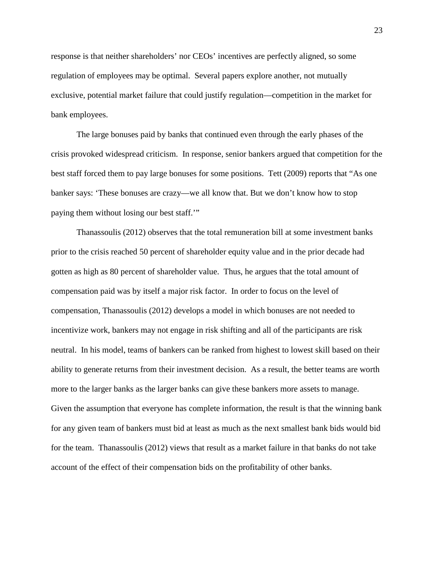response is that neither shareholders' nor CEOs' incentives are perfectly aligned, so some regulation of employees may be optimal. Several papers explore another, not mutually exclusive, potential market failure that could justify regulation—competition in the market for bank employees.

The large bonuses paid by banks that continued even through the early phases of the crisis provoked widespread criticism. In response, senior bankers argued that competition for the best staff forced them to pay large bonuses for some positions. Tett (2009) reports that "As one banker says: 'These bonuses are crazy—we all know that. But we don't know how to stop paying them without losing our best staff.'"

Thanassoulis (2012) observes that the total remuneration bill at some investment banks prior to the crisis reached 50 percent of shareholder equity value and in the prior decade had gotten as high as 80 percent of shareholder value. Thus, he argues that the total amount of compensation paid was by itself a major risk factor. In order to focus on the level of compensation, Thanassoulis (2012) develops a model in which bonuses are not needed to incentivize work, bankers may not engage in risk shifting and all of the participants are risk neutral. In his model, teams of bankers can be ranked from highest to lowest skill based on their ability to generate returns from their investment decision. As a result, the better teams are worth more to the larger banks as the larger banks can give these bankers more assets to manage. Given the assumption that everyone has complete information, the result is that the winning bank for any given team of bankers must bid at least as much as the next smallest bank bids would bid for the team. Thanassoulis (2012) views that result as a market failure in that banks do not take account of the effect of their compensation bids on the profitability of other banks.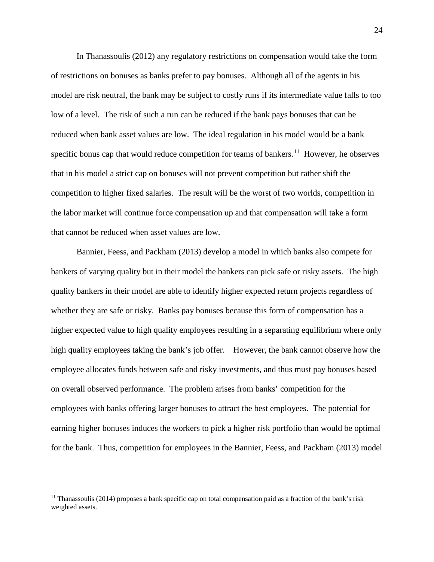In Thanassoulis (2012) any regulatory restrictions on compensation would take the form of restrictions on bonuses as banks prefer to pay bonuses. Although all of the agents in his model are risk neutral, the bank may be subject to costly runs if its intermediate value falls to too low of a level. The risk of such a run can be reduced if the bank pays bonuses that can be reduced when bank asset values are low. The ideal regulation in his model would be a bank specific bonus cap that would reduce competition for teams of bankers.<sup>11</sup> However, he observes that in his model a strict cap on bonuses will not prevent competition but rather shift the competition to higher fixed salaries. The result will be the worst of two worlds, competition in the labor market will continue force compensation up and that compensation will take a form that cannot be reduced when asset values are low.

Bannier, Feess, and Packham (2013) develop a model in which banks also compete for bankers of varying quality but in their model the bankers can pick safe or risky assets. The high quality bankers in their model are able to identify higher expected return projects regardless of whether they are safe or risky. Banks pay bonuses because this form of compensation has a higher expected value to high quality employees resulting in a separating equilibrium where only high quality employees taking the bank's job offer. However, the bank cannot observe how the employee allocates funds between safe and risky investments, and thus must pay bonuses based on overall observed performance. The problem arises from banks' competition for the employees with banks offering larger bonuses to attract the best employees. The potential for earning higher bonuses induces the workers to pick a higher risk portfolio than would be optimal for the bank. Thus, competition for employees in the Bannier, Feess, and Packham (2013) model

<span id="page-23-0"></span><sup>&</sup>lt;sup>11</sup> Thanassoulis (2014) proposes a bank specific cap on total compensation paid as a fraction of the bank's risk weighted assets.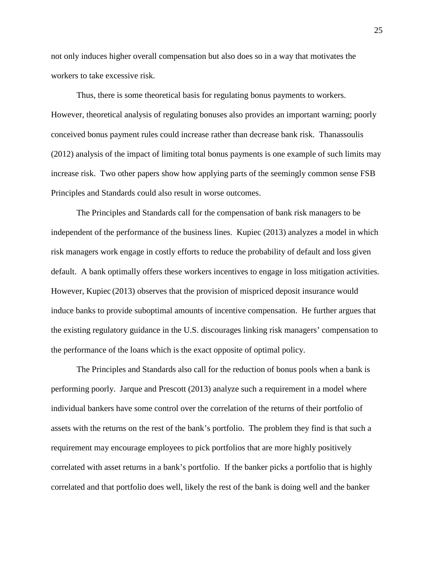not only induces higher overall compensation but also does so in a way that motivates the workers to take excessive risk.

Thus, there is some theoretical basis for regulating bonus payments to workers. However, theoretical analysis of regulating bonuses also provides an important warning; poorly conceived bonus payment rules could increase rather than decrease bank risk. Thanassoulis (2012) analysis of the impact of limiting total bonus payments is one example of such limits may increase risk. Two other papers show how applying parts of the seemingly common sense FSB Principles and Standards could also result in worse outcomes.

The Principles and Standards call for the compensation of bank risk managers to be independent of the performance of the business lines. Kupiec (2013) analyzes a model in which risk managers work engage in costly efforts to reduce the probability of default and loss given default. A bank optimally offers these workers incentives to engage in loss mitigation activities. However, Kupiec (2013) observes that the provision of mispriced deposit insurance would induce banks to provide suboptimal amounts of incentive compensation. He further argues that the existing regulatory guidance in the U.S. discourages linking risk managers' compensation to the performance of the loans which is the exact opposite of optimal policy.

The Principles and Standards also call for the reduction of bonus pools when a bank is performing poorly. Jarque and Prescott (2013) analyze such a requirement in a model where individual bankers have some control over the correlation of the returns of their portfolio of assets with the returns on the rest of the bank's portfolio. The problem they find is that such a requirement may encourage employees to pick portfolios that are more highly positively correlated with asset returns in a bank's portfolio. If the banker picks a portfolio that is highly correlated and that portfolio does well, likely the rest of the bank is doing well and the banker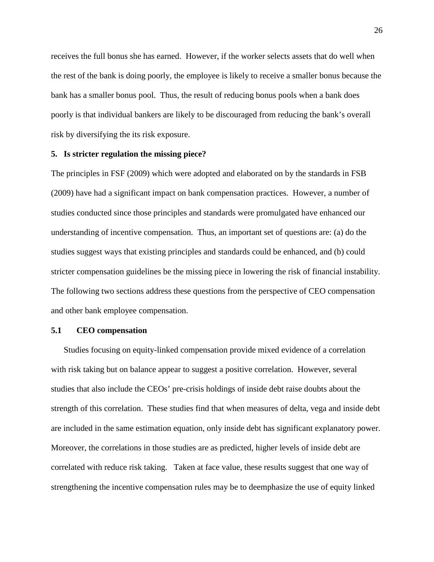receives the full bonus she has earned. However, if the worker selects assets that do well when the rest of the bank is doing poorly, the employee is likely to receive a smaller bonus because the bank has a smaller bonus pool. Thus, the result of reducing bonus pools when a bank does poorly is that individual bankers are likely to be discouraged from reducing the bank's overall risk by diversifying the its risk exposure.

### **5. Is stricter regulation the missing piece?**

The principles in FSF (2009) which were adopted and elaborated on by the standards in FSB (2009) have had a significant impact on bank compensation practices. However, a number of studies conducted since those principles and standards were promulgated have enhanced our understanding of incentive compensation. Thus, an important set of questions are: (a) do the studies suggest ways that existing principles and standards could be enhanced, and (b) could stricter compensation guidelines be the missing piece in lowering the risk of financial instability. The following two sections address these questions from the perspective of CEO compensation and other bank employee compensation.

### **5.1 CEO compensation**

Studies focusing on equity-linked compensation provide mixed evidence of a correlation with risk taking but on balance appear to suggest a positive correlation. However, several studies that also include the CEOs' pre-crisis holdings of inside debt raise doubts about the strength of this correlation. These studies find that when measures of delta, vega and inside debt are included in the same estimation equation, only inside debt has significant explanatory power. Moreover, the correlations in those studies are as predicted, higher levels of inside debt are correlated with reduce risk taking. Taken at face value, these results suggest that one way of strengthening the incentive compensation rules may be to deemphasize the use of equity linked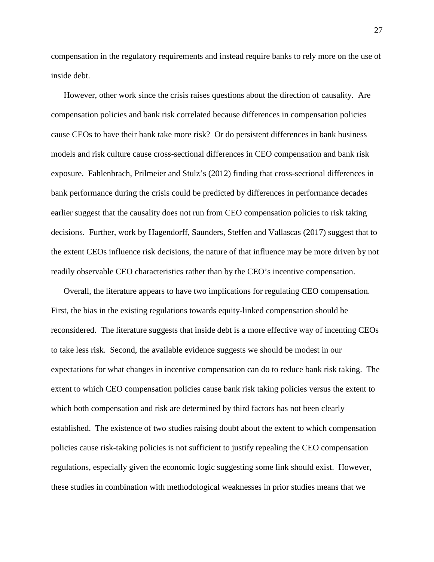compensation in the regulatory requirements and instead require banks to rely more on the use of inside debt.

However, other work since the crisis raises questions about the direction of causality. Are compensation policies and bank risk correlated because differences in compensation policies cause CEOs to have their bank take more risk? Or do persistent differences in bank business models and risk culture cause cross-sectional differences in CEO compensation and bank risk exposure. Fahlenbrach, Prilmeier and Stulz's (2012) finding that cross-sectional differences in bank performance during the crisis could be predicted by differences in performance decades earlier suggest that the causality does not run from CEO compensation policies to risk taking decisions. Further, work by Hagendorff, Saunders, Steffen and Vallascas (2017) suggest that to the extent CEOs influence risk decisions, the nature of that influence may be more driven by not readily observable CEO characteristics rather than by the CEO's incentive compensation.

Overall, the literature appears to have two implications for regulating CEO compensation. First, the bias in the existing regulations towards equity-linked compensation should be reconsidered. The literature suggests that inside debt is a more effective way of incenting CEOs to take less risk. Second, the available evidence suggests we should be modest in our expectations for what changes in incentive compensation can do to reduce bank risk taking. The extent to which CEO compensation policies cause bank risk taking policies versus the extent to which both compensation and risk are determined by third factors has not been clearly established. The existence of two studies raising doubt about the extent to which compensation policies cause risk-taking policies is not sufficient to justify repealing the CEO compensation regulations, especially given the economic logic suggesting some link should exist. However, these studies in combination with methodological weaknesses in prior studies means that we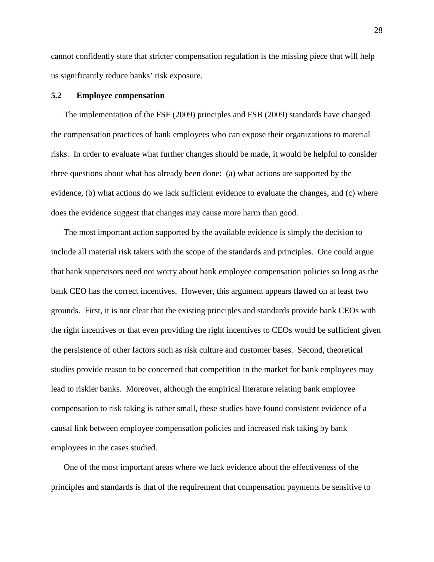cannot confidently state that stricter compensation regulation is the missing piece that will help us significantly reduce banks' risk exposure.

### **5.2 Employee compensation**

The implementation of the FSF (2009) principles and FSB (2009) standards have changed the compensation practices of bank employees who can expose their organizations to material risks. In order to evaluate what further changes should be made, it would be helpful to consider three questions about what has already been done: (a) what actions are supported by the evidence, (b) what actions do we lack sufficient evidence to evaluate the changes, and (c) where does the evidence suggest that changes may cause more harm than good.

The most important action supported by the available evidence is simply the decision to include all material risk takers with the scope of the standards and principles. One could argue that bank supervisors need not worry about bank employee compensation policies so long as the bank CEO has the correct incentives. However, this argument appears flawed on at least two grounds. First, it is not clear that the existing principles and standards provide bank CEOs with the right incentives or that even providing the right incentives to CEOs would be sufficient given the persistence of other factors such as risk culture and customer bases. Second, theoretical studies provide reason to be concerned that competition in the market for bank employees may lead to riskier banks. Moreover, although the empirical literature relating bank employee compensation to risk taking is rather small, these studies have found consistent evidence of a causal link between employee compensation policies and increased risk taking by bank employees in the cases studied.

One of the most important areas where we lack evidence about the effectiveness of the principles and standards is that of the requirement that compensation payments be sensitive to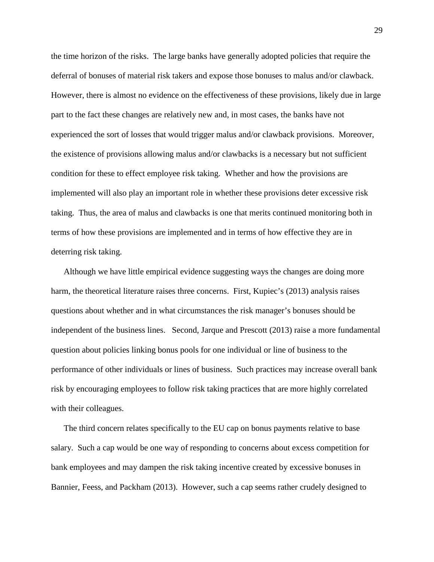the time horizon of the risks. The large banks have generally adopted policies that require the deferral of bonuses of material risk takers and expose those bonuses to malus and/or clawback. However, there is almost no evidence on the effectiveness of these provisions, likely due in large part to the fact these changes are relatively new and, in most cases, the banks have not experienced the sort of losses that would trigger malus and/or clawback provisions. Moreover, the existence of provisions allowing malus and/or clawbacks is a necessary but not sufficient condition for these to effect employee risk taking. Whether and how the provisions are implemented will also play an important role in whether these provisions deter excessive risk taking. Thus, the area of malus and clawbacks is one that merits continued monitoring both in terms of how these provisions are implemented and in terms of how effective they are in deterring risk taking.

Although we have little empirical evidence suggesting ways the changes are doing more harm, the theoretical literature raises three concerns. First, Kupiec's (2013) analysis raises questions about whether and in what circumstances the risk manager's bonuses should be independent of the business lines. Second, Jarque and Prescott (2013) raise a more fundamental question about policies linking bonus pools for one individual or line of business to the performance of other individuals or lines of business. Such practices may increase overall bank risk by encouraging employees to follow risk taking practices that are more highly correlated with their colleagues.

The third concern relates specifically to the EU cap on bonus payments relative to base salary. Such a cap would be one way of responding to concerns about excess competition for bank employees and may dampen the risk taking incentive created by excessive bonuses in Bannier, Feess, and Packham (2013). However, such a cap seems rather crudely designed to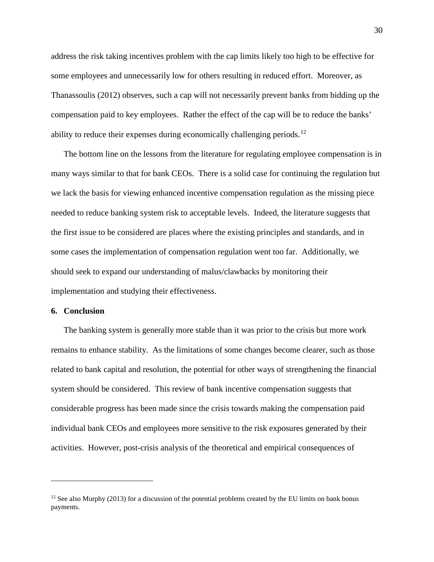address the risk taking incentives problem with the cap limits likely too high to be effective for some employees and unnecessarily low for others resulting in reduced effort. Moreover, as Thanassoulis (2012) observes, such a cap will not necessarily prevent banks from bidding up the compensation paid to key employees. Rather the effect of the cap will be to reduce the banks' ability to reduce their expenses during economically challenging periods.<sup>[12](#page-29-0)</sup>

The bottom line on the lessons from the literature for regulating employee compensation is in many ways similar to that for bank CEOs. There is a solid case for continuing the regulation but we lack the basis for viewing enhanced incentive compensation regulation as the missing piece needed to reduce banking system risk to acceptable levels. Indeed, the literature suggests that the first issue to be considered are places where the existing principles and standards, and in some cases the implementation of compensation regulation went too far. Additionally, we should seek to expand our understanding of malus/clawbacks by monitoring their implementation and studying their effectiveness.

## **6. Conclusion**

 $\overline{a}$ 

The banking system is generally more stable than it was prior to the crisis but more work remains to enhance stability. As the limitations of some changes become clearer, such as those related to bank capital and resolution, the potential for other ways of strengthening the financial system should be considered. This review of bank incentive compensation suggests that considerable progress has been made since the crisis towards making the compensation paid individual bank CEOs and employees more sensitive to the risk exposures generated by their activities. However, post-crisis analysis of the theoretical and empirical consequences of

<span id="page-29-0"></span> $12$  See also Murphy (2013) for a discussion of the potential problems created by the EU limits on bank bonus payments.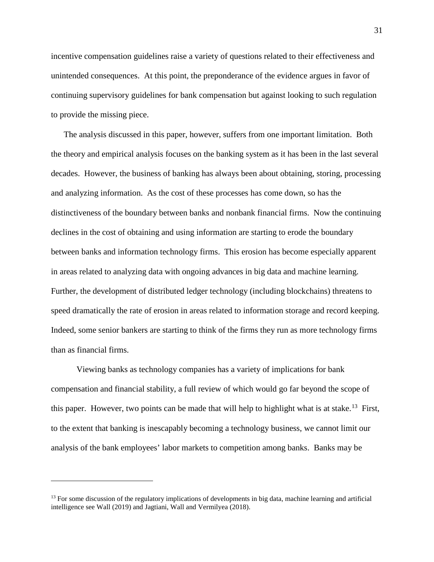incentive compensation guidelines raise a variety of questions related to their effectiveness and unintended consequences. At this point, the preponderance of the evidence argues in favor of continuing supervisory guidelines for bank compensation but against looking to such regulation to provide the missing piece.

The analysis discussed in this paper, however, suffers from one important limitation. Both the theory and empirical analysis focuses on the banking system as it has been in the last several decades. However, the business of banking has always been about obtaining, storing, processing and analyzing information. As the cost of these processes has come down, so has the distinctiveness of the boundary between banks and nonbank financial firms. Now the continuing declines in the cost of obtaining and using information are starting to erode the boundary between banks and information technology firms. This erosion has become especially apparent in areas related to analyzing data with ongoing advances in big data and machine learning. Further, the development of distributed ledger technology (including blockchains) threatens to speed dramatically the rate of erosion in areas related to information storage and record keeping. Indeed, some senior bankers are starting to think of the firms they run as more technology firms than as financial firms.

Viewing banks as technology companies has a variety of implications for bank compensation and financial stability, a full review of which would go far beyond the scope of this paper. However, two points can be made that will help to highlight what is at stake.<sup>13</sup> First, to the extent that banking is inescapably becoming a technology business, we cannot limit our analysis of the bank employees' labor markets to competition among banks. Banks may be

 $<sup>13</sup>$  For some discussion of the regulatory implications of developments in big data, machine learning and artificial</sup> intelligence see Wall (2019) and Jagtiani, Wall and Vermilyea (2018).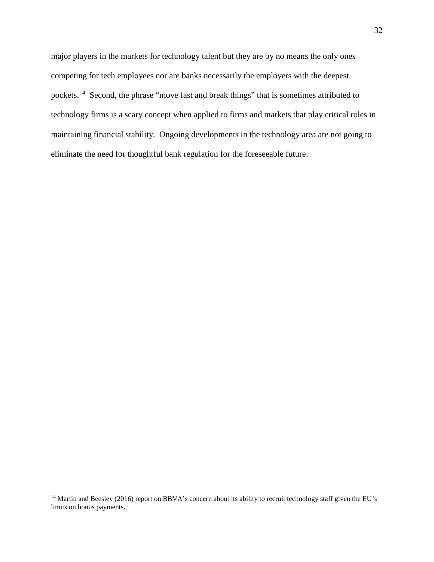major players in the markets for technology talent but they are by no means the only ones competing for tech employees nor are banks necessarily the employers with the deepest pockets.[14](#page-31-1) Second, the phrase "move fast and break things" that is sometimes attributed to technology firms is a scary concept when applied to firms and markets that play critical roles in maintaining financial stability. Ongoing developments in the technology area are not going to eliminate the need for thoughtful bank regulation for the foreseeable future.

<span id="page-31-1"></span><span id="page-31-0"></span><sup>&</sup>lt;sup>14</sup> Martin and Beesley (2016) report on BBVA's concern about its ability to recruit technology staff given the EU's limits on bonus payments.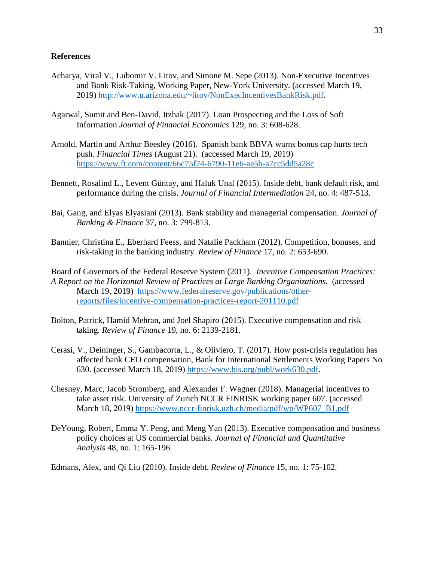## **References**

- Acharya, Viral V., Lubomir V. Litov, and Simone M. Sepe (2013). Non-Executive Incentives and Bank Risk-Taking, Working Paper, New-York University. (accessed March 19, 2019) [http://www.u.arizona.edu/~litov/NonExecIncentivesBankRisk.pdf.](http://www.u.arizona.edu/%7Elitov/NonExecIncentivesBankRisk.pdf)
- Agarwal, Sumit and Ben-David, Itzhak (2017). Loan Prospecting and the Loss of Soft Information *Journal of Financial Economics* 129, no. 3: 608-628.
- Arnold, Martin and Arthur Beesley (2016). Spanish bank BBVA warns bonus cap hurts tech push. *Financial Times* (August 21). (accessed March 19, 2019) <https://www.ft.com/content/66c75f74-6790-11e6-ae5b-a7cc5dd5a28c>
- Bennett, Rosalind L., Levent Güntay, and Haluk Unal (2015). Inside debt, bank default risk, and performance during the crisis. *Journal of Financial Intermediation* 24, no. 4: 487-513.
- Bai, Gang, and Elyas Elyasiani (2013). Bank stability and managerial compensation. *Journal of Banking & Finance* 37, no. 3: 799-813.
- Bannier, Christina E., Eberhard Feess, and Natalie Packham (2012). Competition, bonuses, and risk-taking in the banking industry. *Review of Finance* 17, no. 2: 653-690.
- Board of Governors of the Federal Reserve System (2011). *Incentive Compensation Practices: A Report on the Horizontal Review of Practices at Large Banking Organizations.* (accessed March 19, 2019) [https://www.federalreserve.gov/publications/other](https://www.federalreserve.gov/publications/other-reports/files/incentive-compensation-practices-report-201110.pdf)[reports/files/incentive-compensation-practices-report-201110.pdf](https://www.federalreserve.gov/publications/other-reports/files/incentive-compensation-practices-report-201110.pdf)
- Bolton, Patrick, Hamid Mehran, and Joel Shapiro (2015). Executive compensation and risk taking. *Review of Finance* 19, no. 6: 2139-2181.
- Cerasi, V., Deininger, S., Gambacorta, L., & Oliviero, T. (2017). How post-crisis regulation has affected bank CEO compensation, Bank for International Settlements Working Papers No 630. (accessed March 18, 2019) [https://www.bis.org/publ/work630.pdf.](https://www.bis.org/publ/work630.pdf)
- Chesney, Marc, Jacob Stromberg, and Alexander F. Wagner (2018). Managerial incentives to take asset risk. University of Zurich NCCR FINRISK working paper 607. (accessed March 18, 2019) [https://www.nccr-finrisk.uzh.ch/media/pdf/wp/WP607\\_B1.pdf](https://www.nccr-finrisk.uzh.ch/media/pdf/wp/WP607_B1.pdf)
- DeYoung, Robert, Emma Y. Peng, and Meng Yan (2013). Executive compensation and business policy choices at US commercial banks. *Journal of Financial and Quantitative Analysis* 48, no. 1: 165-196.

Edmans, Alex, and Qi Liu (2010). Inside debt. *Review of Finance* 15, no. 1: 75-102.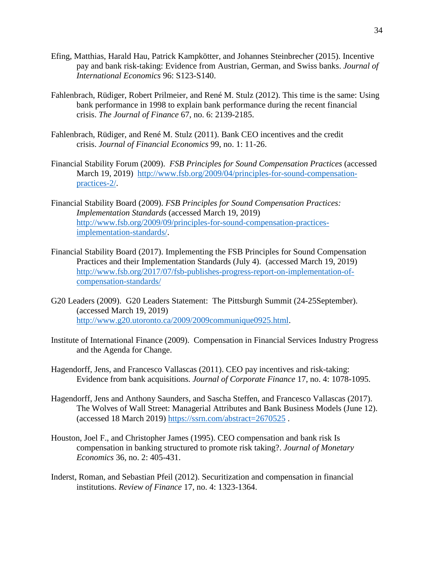- Efing, Matthias, Harald Hau, Patrick Kampkötter, and Johannes Steinbrecher (2015). Incentive pay and bank risk-taking: Evidence from Austrian, German, and Swiss banks. *Journal of International Economics* 96: S123-S140.
- Fahlenbrach, Rüdiger, Robert Prilmeier, and René M. Stulz (2012). This time is the same: Using bank performance in 1998 to explain bank performance during the recent financial crisis. *The Journal of Finance* 67, no. 6: 2139-2185.
- Fahlenbrach, Rüdiger, and René M. Stulz (2011). Bank CEO incentives and the credit crisis. *Journal of Financial Economics* 99, no. 1: 11-26.
- Financial Stability Forum (2009). *FSB Principles for Sound Compensation Practices* (accessed March 19, 2019) [http://www.fsb.org/2009/04/principles-for-sound-compensation](http://www.fsb.org/2009/04/principles-for-sound-compensation-practices-2/)[practices-2/.](http://www.fsb.org/2009/04/principles-for-sound-compensation-practices-2/)
- Financial Stability Board (2009). *FSB Principles for Sound Compensation Practices: Implementation Standards* (accessed March 19, 2019) [http://www.fsb.org/2009/09/principles-for-sound-compensation-practices](http://www.fsb.org/2009/09/principles-for-sound-compensation-practices-implementation-standards/)[implementation-standards/.](http://www.fsb.org/2009/09/principles-for-sound-compensation-practices-implementation-standards/)
- Financial Stability Board (2017). Implementing the FSB Principles for Sound Compensation Practices and their Implementation Standards (July 4). (accessed March 19, 2019) [http://www.fsb.org/2017/07/fsb-publishes-progress-report-on-implementation-of](http://www.fsb.org/2017/07/fsb-publishes-progress-report-on-implementation-of-compensation-standards/)[compensation-standards/](http://www.fsb.org/2017/07/fsb-publishes-progress-report-on-implementation-of-compensation-standards/)
- G20 Leaders (2009). G20 Leaders Statement: The Pittsburgh Summit (24-25September). (accessed March 19, 2019) [http://www.g20.utoronto.ca/2009/2009communique0925.html.](http://www.g20.utoronto.ca/2009/2009communique0925.html)
- Institute of International Finance (2009). Compensation in Financial Services Industry Progress and the Agenda for Change.
- Hagendorff, Jens, and Francesco Vallascas (2011). CEO pay incentives and risk-taking: Evidence from bank acquisitions. *Journal of Corporate Finance* 17, no. 4: 1078-1095.
- Hagendorff, Jens and Anthony Saunders, and Sascha Steffen, and Francesco Vallascas (2017). The Wolves of Wall Street: Managerial Attributes and Bank Business Models (June 12). (accessed 18 March 2019) <https://ssrn.com/abstract=2670525> .
- Houston, Joel F., and Christopher James (1995). CEO compensation and bank risk Is compensation in banking structured to promote risk taking?. *Journal of Monetary Economics* 36, no. 2: 405-431.
- Inderst, Roman, and Sebastian Pfeil (2012). Securitization and compensation in financial institutions. *Review of Finance* 17, no. 4: 1323-1364.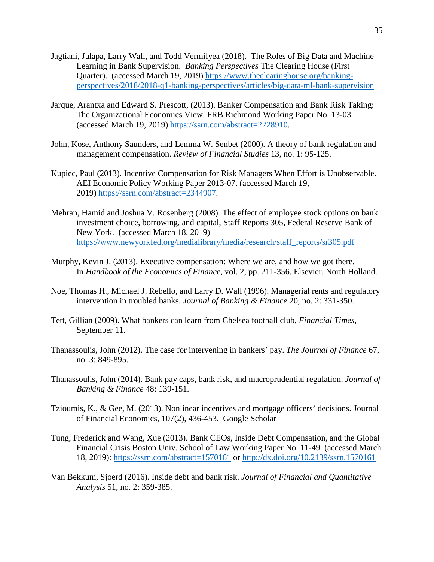- Jagtiani, Julapa, Larry Wall, and Todd Vermilyea (2018). The Roles of Big Data and Machine Learning in Bank Supervision. *Banking Perspectives* The Clearing House (First Quarter). (accessed March 19, 2019) [https://www.theclearinghouse.org/banking](https://www.theclearinghouse.org/banking-perspectives/2018/2018-q1-banking-perspectives/articles/big-data-ml-bank-supervision)[perspectives/2018/2018-q1-banking-perspectives/articles/big-data-ml-bank-supervision](https://www.theclearinghouse.org/banking-perspectives/2018/2018-q1-banking-perspectives/articles/big-data-ml-bank-supervision)
- Jarque, Arantxa and Edward S. Prescott, (2013). Banker Compensation and Bank Risk Taking: The Organizational Economics View. FRB Richmond Working Paper No. 13-03. (accessed March 19, 2019) [https://ssrn.com/abstract=2228910.](https://ssrn.com/abstract=2228910)
- John, Kose, Anthony Saunders, and Lemma W. Senbet (2000). A theory of bank regulation and management compensation. *Review of Financial Studies* 13, no. 1: 95-125.
- Kupiec, Paul (2013). Incentive Compensation for Risk Managers When Effort is Unobservable. AEI Economic Policy Working Paper 2013-07. (accessed March 19, 2019) [https://ssrn.com/abstract=2344907.](https://ssrn.com/abstract=2344907)
- Mehran, Hamid and Joshua V. Rosenberg (2008). The effect of employee stock options on bank investment choice, borrowing, and capital, Staff Reports 305, Federal Reserve Bank of New York. (accessed March 18, 2019) [https://www.newyorkfed.org/medialibrary/media/research/staff\\_reports/sr305.pdf](https://www.newyorkfed.org/medialibrary/media/research/staff_reports/sr305.pdf)
- Murphy, Kevin J. (2013). Executive compensation: Where we are, and how we got there. In *Handbook of the Economics of Finance*, vol. 2, pp. 211-356. Elsevier, North Holland.
- Noe, Thomas H., Michael J. Rebello, and Larry D. Wall (1996). Managerial rents and regulatory intervention in troubled banks. *Journal of Banking & Finance* 20, no. 2: 331-350.
- Tett, Gillian (2009). What bankers can learn from Chelsea football club, *Financial Times*, September 11.
- Thanassoulis, John (2012). The case for intervening in bankers' pay. *The Journal of Finance* 67, no. 3: 849-895.
- Thanassoulis, John (2014). Bank pay caps, bank risk, and macroprudential regulation. *Journal of Banking & Finance* 48: 139-151.
- Tzioumis, K., & Gee, M. (2013). Nonlinear incentives and mortgage officers' decisions. Journal of Financial Economics, 107(2), 436-453. Google Scholar
- Tung, Frederick and Wang, Xue (2013). Bank CEOs, Inside Debt Compensation, and the Global Financial Crisis Boston Univ. School of Law Working Paper No. 11-49. (accessed March 18, 2019): <https://ssrn.com/abstract=1570161> or [http://dx.doi.org/10.2139/ssrn.1570161](https://dx.doi.org/10.2139/ssrn.1570161)
- Van Bekkum, Sjoerd (2016). Inside debt and bank risk. *Journal of Financial and Quantitative Analysis* 51, no. 2: 359-385.